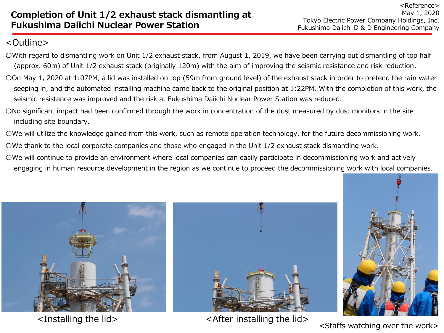## <Outline>

- 〇With regard to dismantling work on Unit 1/2 exhaust stack, from August 1, 2019, we have been carrying out dismantling of top half (approx. 60m) of Unit 1/2 exhaust stack (originally 120m) with the aim of improving the seismic resistance and risk reduction.
- 〇On May 1, 2020 at 1:07PM, a lid was installed on top (59m from ground level) of the exhaust stack in order to pretend the rain water seeping in, and the automated installing machine came back to the original position at 1:22PM. With the completion of this work, the seismic resistance was improved and the risk at Fukushima Daiichi Nuclear Power Station was reduced.
- 〇No significant impact had been confirmed through the work in concentration of the dust measured by dust monitors in the site including site boundary.
- 〇We will utilize the knowledge gained from this work, such as remote operation technology, for the future decommissioning work.
- 〇We thank to the local corporate companies and those who engaged in the Unit 1/2 exhaust stack dismantling work.
- 〇We will continue to provide an environment where local companies can easily participate in decommissioning work and actively engaging in human resource development in the region as we continue to proceed the decommissioning work with local companies.





<Installing the lid>  $\leq$  <After installing the lid>



<Staffs watching over the work>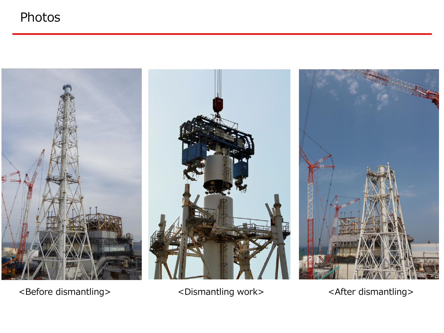## Photos



<Before dismantling> <Dismantling work> <After dismantling>